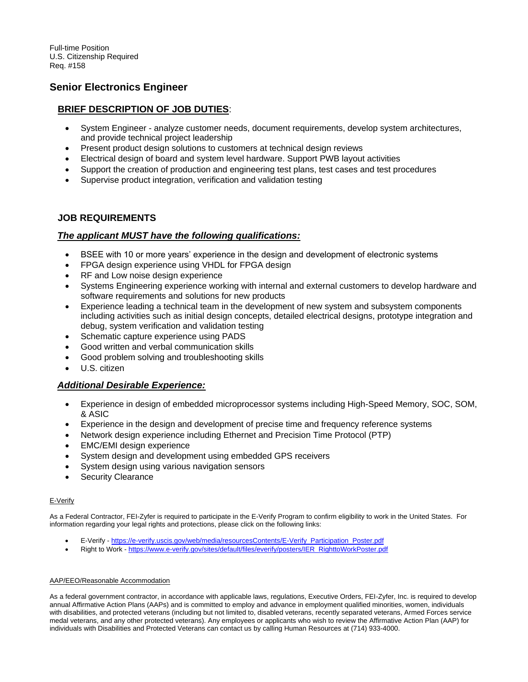Full-time Position U.S. Citizenship Required Req. #158

# **Senior Electronics Engineer**

## **BRIEF DESCRIPTION OF JOB DUTIES**:

- System Engineer analyze customer needs, document requirements, develop system architectures, and provide technical project leadership
- Present product design solutions to customers at technical design reviews
- Electrical design of board and system level hardware. Support PWB layout activities
- Support the creation of production and engineering test plans, test cases and test procedures
- Supervise product integration, verification and validation testing

## **JOB REQUIREMENTS**

#### *The applicant MUST have the following qualifications:*

- BSEE with 10 or more years' experience in the design and development of electronic systems
- FPGA design experience using VHDL for FPGA design
- RF and Low noise design experience
- Systems Engineering experience working with internal and external customers to develop hardware and software requirements and solutions for new products
- Experience leading a technical team in the development of new system and subsystem components including activities such as initial design concepts, detailed electrical designs, prototype integration and debug, system verification and validation testing
- Schematic capture experience using PADS
- Good written and verbal communication skills
- Good problem solving and troubleshooting skills
- U.S. citizen

## *Additional Desirable Experience:*

- Experience in design of embedded microprocessor systems including High-Speed Memory, SOC, SOM, & ASIC
- Experience in the design and development of precise time and frequency reference systems
- Network design experience including Ethernet and Precision Time Protocol (PTP)
- EMC/EMI design experience
- System design and development using embedded GPS receivers
- System design using various navigation sensors
- Security Clearance

#### E-Verify

As a Federal Contractor, FEI-Zyfer is required to participate in the E-Verify Program to confirm eligibility to work in the United States. For information regarding your legal rights and protections, please click on the following links:

- E-Verify [https://e-verify.uscis.gov/web/media/resourcesContents/E-Verify\\_Participation\\_Poster.pdf](https://e-verify.uscis.gov/web/media/resourcesContents/E-Verify_Participation_Poster.pdf)
- Right to Work [https://www.e-verify.gov/sites/default/files/everify/posters/IER\\_RighttoWorkPoster.pdf](https://www.e-verify.gov/sites/default/files/everify/posters/IER_RighttoWorkPoster.pdf)

#### AAP/EEO/Reasonable Accommodation

As a federal government contractor, in accordance with applicable laws, regulations, Executive Orders, FEI-Zyfer, Inc. is required to develop annual Affirmative Action Plans (AAPs) and is committed to employ and advance in employment qualified minorities, women, individuals with disabilities, and protected veterans (including but not limited to, disabled veterans, recently separated veterans, Armed Forces service medal veterans, and any other protected veterans). Any employees or applicants who wish to review the Affirmative Action Plan (AAP) for individuals with Disabilities and Protected Veterans can contact us by calling Human Resources at (714) 933-4000.